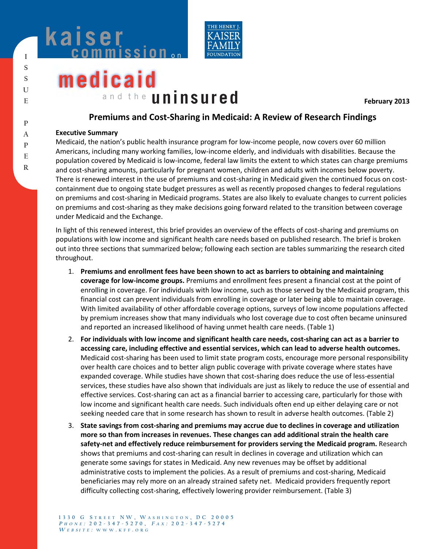



# **medicaid** a n d t h e **uninsured**

**February 2013** 

# **Premiums and Cost-Sharing in Medicaid: A Review of Research Findings**

#### **Executive Summary**

Medicaid, the nation's public health insurance program for low-income people, now covers over 60 million Americans, including many working families, low-income elderly, and individuals with disabilities. Because the population covered by Medicaid is low-income, federal law limits the extent to which states can charge premiums and cost-sharing amounts, particularly for pregnant women, children and adults with incomes below poverty. There is renewed interest in the use of premiums and cost-sharing in Medicaid given the continued focus on costcontainment due to ongoing state budget pressures as well as recently proposed changes to federal regulations on premiums and cost-sharing in Medicaid programs. States are also likely to evaluate changes to current policies on premiums and cost-sharing as they make decisions going forward related to the transition between coverage under Medicaid and the Exchange.

In light of this renewed interest, this brief provides an overview of the effects of cost-sharing and premiums on populations with low income and significant health care needs based on published research. The brief is broken out into three sections that summarized below; following each section are tables summarizing the research cited throughout.

- 1. **Premiums and enrollment fees have been shown to act as barriers to obtaining and maintaining coverage for low-income groups.** Premiums and enrollment fees present a financial cost at the point of enrolling in coverage. For individuals with low income, such as those served by the Medicaid program, this financial cost can prevent individuals from enrolling in coverage or later being able to maintain coverage. With limited availability of other affordable coverage options, surveys of low income populations affected by premium increases show that many individuals who lost coverage due to cost often became uninsured and reported an increased likelihood of having unmet health care needs. (Table 1)
- 2. **For individuals with low income and significant health care needs, cost-sharing can act as a barrier to accessing care, including effective and essential services, which can lead to adverse health outcomes.** Medicaid cost-sharing has been used to limit state program costs, encourage more personal responsibility over health care choices and to better align public coverage with private coverage where states have expanded coverage. While studies have shown that cost-sharing does reduce the use of less-essential services, these studies have also shown that individuals are just as likely to reduce the use of essential and effective services. Cost-sharing can act as a financial barrier to accessing care, particularly for those with low income and significant health care needs. Such individuals often end up either delaying care or not seeking needed care that in some research has shown to result in adverse health outcomes. (Table 2)
- 3. **State savings from cost-sharing and premiums may accrue due to declines in coverage and utilization more so than from increases in revenues. These changes can add additional strain the health care safety-net and effectively reduce reimbursement for providers serving the Medicaid program.** Research shows that premiums and cost-sharing can result in declines in coverage and utilization which can generate some savings for states in Medicaid. Any new revenues may be offset by additional administrative costs to implement the policies. As a result of premiums and cost-sharing, Medicaid beneficiaries may rely more on an already strained safety net. Medicaid providers frequently report difficulty collecting cost-sharing, effectively lowering provider reimbursement. (Table 3)

**R**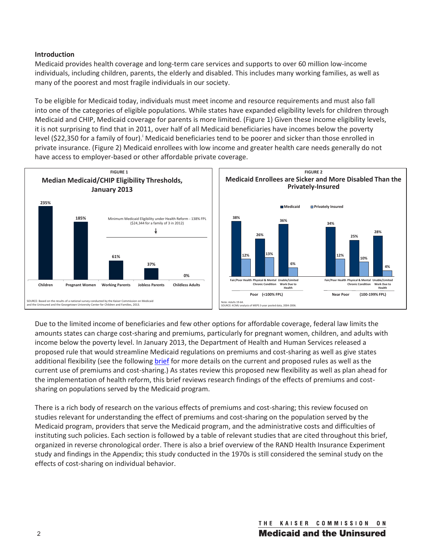## **Introduction**

Medicaid provides health coverage and long-term care services and supports to over 60 million low-income individuals, including children, parents, the elderly and disabled. This includes many working families, as well as many of the poorest and most fragile individuals in our society.

To be eligible for Medicaid today, individuals must meet income and resource requirements and must also fall into one of the categories of eligible populations. While states have expanded eligibility levels for children through Medicaid and CHIP, Medicaid coverage for parents is more limited. (Figure 1) Given these income eligibility levels, it is not surprising to find that in 2011, over half of all Medicaid beneficiaries have incomes below the poverty level (\$22,350 for a family of four).<sup>i</sup> Medicaid beneficiaries tend to be poorer and sicker than those enrolled in private insurance. (Figure 2) Medicaid enrollees with low income and greater health care needs generally do not have access to employer-based or other affordable private coverage.



Due to the limited income of beneficiaries and few other options for affordable coverage, federal law limits the amounts states can charge cost-sharing and premiums, particularly for pregnant women, children, and adults with income below the poverty level. In January 2013, the Department of Health and Human Services released a proposed rule that would streamline Medicaid regulations on premiums and cost-sharing as well as give states additional flexibility (see the followin[g brief fo](http://www.kff.org/medicaid/8416.cfm)r more details on the current and proposed rules as well as the current use of premiums and cost-sharing.) As states review this proposed new flexibility as well as plan ahead for the implementation of health reform, this brief reviews research findings of the effects of premiums and costsharing on populations served by the Medicaid program.

There is a rich body of research on the various effects of premiums and cost-sharing; this review focused on studies relevant for understanding the effect of premiums and cost-sharing on the population served by the Medicaid program, providers that serve the Medicaid program, and the administrative costs and difficulties of instituting such policies. Each section is followed by a table of relevant studies that are cited throughout this brief, organized in reverse chronological order. There is also a brief overview of the RAND Health Insurance Experiment study and findings in the Appendix; this study conducted in the 1970s is still considered the seminal study on the effects of cost-sharing on individual behavior.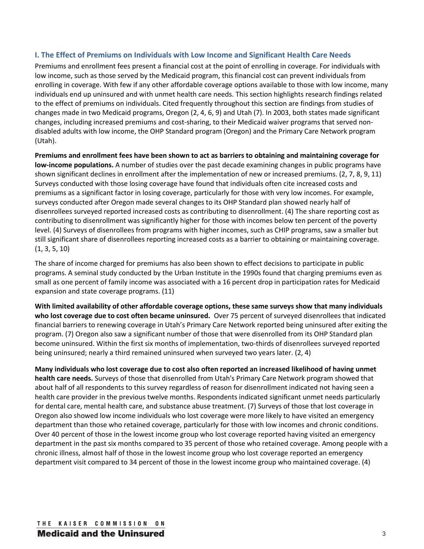## **I. The Effect of Premiums on Individuals with Low Income and Significant Health Care Needs**

Premiums and enrollment fees present a financial cost at the point of enrolling in coverage. For individuals with low income, such as those served by the Medicaid program, this financial cost can prevent individuals from enrolling in coverage. With few if any other affordable coverage options available to those with low income, many individuals end up uninsured and with unmet health care needs. This section highlights research findings related to the effect of premiums on individuals. Cited frequently throughout this section are findings from studies of changes made in two Medicaid programs, Oregon (2, 4, 6, 9) and Utah (7). In 2003, both states made significant changes, including increased premiums and cost-sharing, to their Medicaid waiver programs that served nondisabled adults with low income, the OHP Standard program (Oregon) and the Primary Care Network program (Utah).

**Premiums and enrollment fees have been shown to act as barriers to obtaining and maintaining coverage for low-income populations.** A number of studies over the past decade examining changes in public programs have shown significant declines in enrollment after the implementation of new or increased premiums. (2, 7, 8, 9, 11) Surveys conducted with those losing coverage have found that individuals often cite increased costs and premiums as a significant factor in losing coverage, particularly for those with very low incomes. For example, surveys conducted after Oregon made several changes to its OHP Standard plan showed nearly half of disenrollees surveyed reported increased costs as contributing to disenrollment. (4) The share reporting cost as contributing to disenrollment was significantly higher for those with incomes below ten percent of the poverty level. (4) Surveys of disenrollees from programs with higher incomes, such as CHIP programs, saw a smaller but still significant share of disenrollees reporting increased costs as a barrier to obtaining or maintaining coverage. (1, 3, 5, 10)

The share of income charged for premiums has also been shown to effect decisions to participate in public programs. A seminal study conducted by the Urban Institute in the 1990s found that charging premiums even as small as one percent of family income was associated with a 16 percent drop in participation rates for Medicaid expansion and state coverage programs. (11)

**With limited availability of other affordable coverage options, these same surveys show that many individuals who lost coverage due to cost often became uninsured.** Over 75 percent of surveyed disenrollees that indicated financial barriers to renewing coverage in Utah's Primary Care Network reported being uninsured after exiting the program. (7) Oregon also saw a significant number of those that were disenrolled from its OHP Standard plan become uninsured. Within the first six months of implementation, two-thirds of disenrollees surveyed reported being uninsured; nearly a third remained uninsured when surveyed two years later. (2, 4)

**Many individuals who lost coverage due to cost also often reported an increased likelihood of having unmet health care needs.** Surveys of those that disenrolled from Utah's Primary Care Network program showed that about half of all respondents to this survey regardless of reason for disenrollment indicated not having seen a health care provider in the previous twelve months. Respondents indicated significant unmet needs particularly for dental care, mental health care, and substance abuse treatment. (7) Surveys of those that lost coverage in Oregon also showed low income individuals who lost coverage were more likely to have visited an emergency department than those who retained coverage, particularly for those with low incomes and chronic conditions. Over 40 percent of those in the lowest income group who lost coverage reported having visited an emergency department in the past six months compared to 35 percent of those who retained coverage. Among people with a chronic illness, almost half of those in the lowest income group who lost coverage reported an emergency department visit compared to 34 percent of those in the lowest income group who maintained coverage. (4)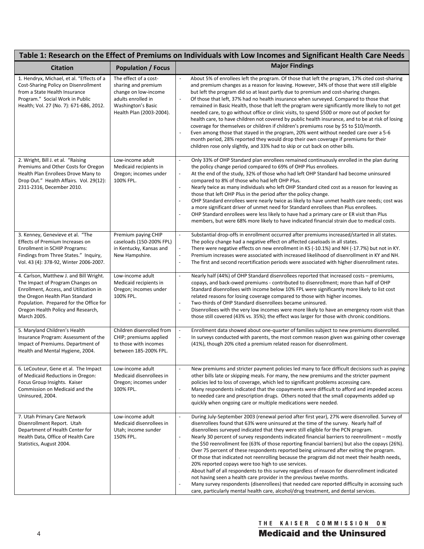| Table 1: Research on the Effect of Premiums on Individuals with Low Incomes and Significant Health Care Needs                                                                                                                                            |                                                                                                                                                     |                                                                                                                                                                                                                                                                                                                                                                                                                                                                                                                                                                                                                                                                                                                                                                                                                                                                                                                                                                                                                                                                                                                        |
|----------------------------------------------------------------------------------------------------------------------------------------------------------------------------------------------------------------------------------------------------------|-----------------------------------------------------------------------------------------------------------------------------------------------------|------------------------------------------------------------------------------------------------------------------------------------------------------------------------------------------------------------------------------------------------------------------------------------------------------------------------------------------------------------------------------------------------------------------------------------------------------------------------------------------------------------------------------------------------------------------------------------------------------------------------------------------------------------------------------------------------------------------------------------------------------------------------------------------------------------------------------------------------------------------------------------------------------------------------------------------------------------------------------------------------------------------------------------------------------------------------------------------------------------------------|
| <b>Citation</b>                                                                                                                                                                                                                                          | <b>Population / Focus</b>                                                                                                                           | <b>Major Findings</b>                                                                                                                                                                                                                                                                                                                                                                                                                                                                                                                                                                                                                                                                                                                                                                                                                                                                                                                                                                                                                                                                                                  |
| 1. Hendryx, Michael, et al. "Effects of a<br>Cost-Sharing Policy on Disenrollment<br>from a State Health Insurance<br>Program." Social Work in Public<br>Health; Vol. 27 (No. 7): 671-686, 2012.                                                         | The effect of a cost-<br>sharing and premium<br>change on low-income<br>adults enrolled in<br><b>Washington's Basic</b><br>Health Plan (2003-2004). | About 5% of enrollees left the program. Of those that left the program, 17% cited cost-sharing<br>and premium changes as a reason for leaving. However, 34% of those that were still eligible<br>but left the program did so at least partly due to premium and cost-sharing changes.<br>Of those that left, 37% had no health insurance when surveyed. Compared to those that<br>$\overline{a}$<br>remained in Basic Health, those that left the program were significantly more likely to not get<br>needed care, to go without office or clinic visits, to spend \$500 or more out of pocket for<br>health care, to have children not covered by public health insurance, and to be at risk of losing<br>coverage for themselves or children if children's premiums rose by \$5 to \$10/month.<br>Even among those that stayed in the program, 20% went without needed care over a 5-6<br>month period, 28% reported they would drop their own coverage if premiums for their<br>children rose only slightly, and 33% had to skip or cut back on other bills.                                                       |
| 2. Wright, Bill J. et al. "Raising<br>Premiums and Other Costs for Oregon<br>Health Plan Enrollees Drove Many to<br>Drop Out." Health Affairs. Vol. 29(12):<br>2311-2316, December 2010.                                                                 | Low-income adult<br>Medicaid recipients in<br>Oregon; incomes under<br>100% FPL.                                                                    | Only 33% of OHP Standard plan enrollees remained continuously enrolled in the plan during<br>L.<br>the policy change period compared to 69% of OHP Plus enrollees.<br>At the end of the study, 32% of those who had left OHP Standard had become uninsured<br>÷,<br>compared to 8% of those who had left OHP Plus.<br>Nearly twice as many individuals who left OHP Standard cited cost as a reason for leaving as<br>$\overline{a}$<br>those that left OHP Plus in the period after the policy change.<br>OHP Standard enrollees were nearly twice as likely to have unmet health care needs; cost was<br>÷,<br>a more significant driver of unmet need for Standard enrollees than Plus enrollees.<br>OHP Standard enrollees were less likely to have had a primary care or ER visit than Plus<br>members, but were 68% more likely to have indicated financial strain due to medical costs.                                                                                                                                                                                                                         |
| 3. Kenney, Genevieve et al. "The<br>Effects of Premium Increases on<br><b>Enrollment in SCHIP Programs:</b><br>Findings from Three States." Inquiry,<br>Vol. 43 (4): 378-92, Winter 2006-2007.                                                           | Premium paying CHIP<br>caseloads (150-200% FPL)<br>in Kentucky, Kansas and<br>New Hampshire.                                                        | Substantial drop-offs in enrollment occurred after premiums increased/started in all states.<br>$\overline{\phantom{a}}$<br>The policy change had a negative effect on affected caseloads in all states.<br>There were negative effects on new enrollment in KS (-10.1%) and NH (-17.7%) but not in KY.<br>Premium increases were associated with increased likelihood of disenrollment in KY and NH.<br>$\overline{a}$<br>The first and second recertification periods were associated with higher disenrollment rates.<br>$\overline{a}$                                                                                                                                                                                                                                                                                                                                                                                                                                                                                                                                                                             |
| 4. Carlson, Matthew J. and Bill Wright.<br>The Impact of Program Changes on<br>Enrollment, Access, and Utilization in<br>the Oregon Health Plan Standard<br>Population. Prepared for the Office for<br>Oregon Health Policy and Research,<br>March 2005. | Low-income adult<br>Medicaid recipients in<br>Oregon; incomes under<br>100% FPL.                                                                    | Nearly half (44%) of OHP Standard disenrollees reported that increased costs - premiums,<br>$\overline{a}$<br>copays, and back-owed premiums - contributed to disenrollment; more than half of OHP<br>Standard disenrollees with income below 10% FPL were significantly more likely to list cost<br>related reasons for losing coverage compared to those with higher incomes.<br>Two-thirds of OHP Standard disenrollees became uninsured.<br>$\overline{a}$<br>Disenrollees with the very low incomes were more likely to have an emergency room visit than<br>$\overline{a}$<br>those still covered (43% vs. 35%); the effect was larger for those with chronic conditions.                                                                                                                                                                                                                                                                                                                                                                                                                                        |
| 5. Maryland Children's Health<br>Insurance Program: Assessment of the<br>Impact of Premiums. Department of<br>Health and Mental Hygiene, 2004.                                                                                                           | Children disenrolled from<br>CHIP; premiums applied<br>to those with incomes<br>between 185-200% FPL.                                               | Enrollment data showed about one-quarter of families subject to new premiums disenrolled.<br>$\blacksquare$<br>In surveys conducted with parents, the most common reason given was gaining other coverage<br>$\blacksquare$<br>(41%), though 20% cited a premium related reason for disenrollment.                                                                                                                                                                                                                                                                                                                                                                                                                                                                                                                                                                                                                                                                                                                                                                                                                     |
| 6. LeCouteur, Gene et al. The Impact<br>of Medicaid Reductions in Oregon:<br>Focus Group Insights. Kaiser<br>Commission on Medicaid and the<br>Uninsured, 2004.                                                                                          | Low-income adult<br>Medicaid disenrollees in<br>Oregon; incomes under<br>100% FPL.                                                                  | New premiums and stricter payment policies led many to face difficult decisions such as paying<br>other bills late or skipping meals. For many, the new premiums and the stricter payment<br>policies led to loss of coverage, which led to significant problems accessing care.<br>Many respondents indicated that the copayments were difficult to afford and impeded access<br>L<br>to needed care and prescription drugs. Others noted that the small copayments added up<br>quickly when ongoing care or multiple medications were needed.                                                                                                                                                                                                                                                                                                                                                                                                                                                                                                                                                                        |
| 7. Utah Primary Care Network<br>Disenrollment Report. Utah<br>Department of Health Center for<br>Health Data, Office of Health Care<br>Statistics, August 2004.                                                                                          | Low-income adult<br>Medicaid disenrollees in<br>Utah; income sunder<br>150% FPL.                                                                    | During July-September 2003 (renewal period after first year), 27% were disenrolled. Survey of<br>$\blacksquare$<br>disenrollees found that 63% were uninsured at the time of the survey. Nearly half of<br>disenrollees surveyed indicated that they were still eligible for the PCN program.<br>Nearly 30 percent of survey respondents indicated financial barriers to reenrollment – mostly<br>the \$50 reenrollment fee (63% of those reporting financial barriers) but also the copays (26%).<br>Over 75 percent of these respondents reported being uninsured after exiting the program.<br>Of those that indicated not reenrolling because the program did not meet their health needs,<br>20% reported copays were too high to use services.<br>About half of all respondents to this survey regardless of reason for disenrollment indicated<br>not having seen a health care provider in the previous twelve months.<br>Many survey respondents (disenrollees) that needed care reported difficulty in accessing such<br>care, particularly mental health care, alcohol/drug treatment, and dental services. |

# THE KAISER COMMISSION ON **Medicaid and the Uninsured**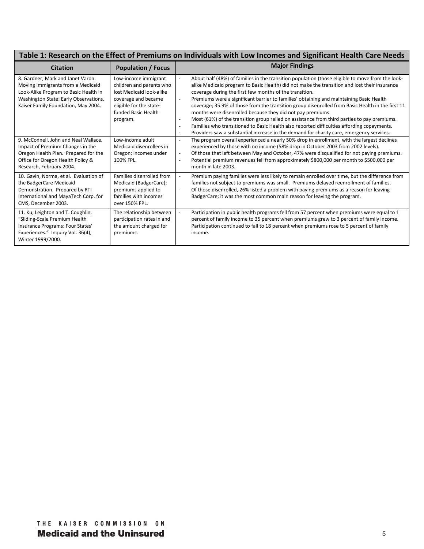| Table 1: Research on the Effect of Premiums on Individuals with Low Incomes and Significant Health Care Needs                                                                                                                           |                                                                                                                                                                                       |                                                                                                                                                                                                                                                                                                                                                                                                                                                                                                                                                                                                                                                                                                                                                                                                                                                                                                                                                                       |
|-----------------------------------------------------------------------------------------------------------------------------------------------------------------------------------------------------------------------------------------|---------------------------------------------------------------------------------------------------------------------------------------------------------------------------------------|-----------------------------------------------------------------------------------------------------------------------------------------------------------------------------------------------------------------------------------------------------------------------------------------------------------------------------------------------------------------------------------------------------------------------------------------------------------------------------------------------------------------------------------------------------------------------------------------------------------------------------------------------------------------------------------------------------------------------------------------------------------------------------------------------------------------------------------------------------------------------------------------------------------------------------------------------------------------------|
| <b>Citation</b>                                                                                                                                                                                                                         | <b>Population / Focus</b>                                                                                                                                                             | <b>Major Findings</b>                                                                                                                                                                                                                                                                                                                                                                                                                                                                                                                                                                                                                                                                                                                                                                                                                                                                                                                                                 |
| 8. Gardner, Mark and Janet Varon.<br>Moving Immigrants from a Medicaid<br>Look-Alike Program to Basic Health in<br>Washington State: Early Observations.<br>Kaiser Family Foundation, May 2004.<br>9. McConnell, John and Neal Wallace. | Low-income immigrant<br>children and parents who<br>lost Medicaid look-alike<br>coverage and became<br>eligible for the state-<br>funded Basic Health<br>program.<br>Low-income adult | About half (48%) of families in the transition population (those eligible to move from the look-<br>alike Medicaid program to Basic Health) did not make the transition and lost their insurance<br>coverage during the first few months of the transition.<br>Premiums were a significant barrier to families' obtaining and maintaining Basic Health<br>coverage; 35.9% of those from the transition group disenrolled from Basic Health in the first 11<br>months were disenrolled because they did not pay premiums.<br>Most (61%) of the transition group relied on assistance from third parties to pay premiums.<br>$\overline{a}$<br>Families who transitioned to Basic Health also reported difficulties affording copayments.<br>$\blacksquare$<br>Providers saw a substantial increase in the demand for charity care, emergency services.<br>The program overall experienced a nearly 50% drop in enrollment, with the largest declines<br>$\blacksquare$ |
| Impact of Premium Changes in the<br>Oregon Health Plan. Prepared for the<br>Office for Oregon Health Policy &<br>Research, February 2004.                                                                                               | Medicaid disenrollees in<br>Oregon; incomes under<br>100% FPL.                                                                                                                        | experienced by those with no income (58% drop in October 2003 from 2002 levels).<br>Of those that left between May and October, 47% were disqualified for not paying premiums.<br>$\blacksquare$<br>Potential premium revenues fell from approximately \$800,000 per month to \$500,000 per<br>$\blacksquare$<br>month in late 2003.                                                                                                                                                                                                                                                                                                                                                                                                                                                                                                                                                                                                                                  |
| 10. Gavin, Norma, et al. Evaluation of<br>the BadgerCare Medicaid<br>Demonstration. Prepared by RTI<br>International and MayaTech Corp. for<br>CMS, December 2003.                                                                      | Families disenrolled from<br>Medicaid (BadgerCare);<br>premiums applied to<br>families with incomes<br>over 150% FPL.                                                                 | Premium paying families were less likely to remain enrolled over time, but the difference from<br>$\blacksquare$<br>families not subject to premiums was small. Premiums delayed reenrollment of families.<br>Of those disenrolled, 26% listed a problem with paying premiums as a reason for leaving<br>BadgerCare; it was the most common main reason for leaving the program.                                                                                                                                                                                                                                                                                                                                                                                                                                                                                                                                                                                      |
| 11. Ku, Leighton and T. Coughlin.<br>"Sliding-Scale Premium Health<br>Insurance Programs: Four States'<br>Experiences." Inquiry Vol. 36(4),<br>Winter 1999/2000.                                                                        | The relationship between<br>participation rates in and<br>the amount charged for<br>premiums.                                                                                         | Participation in public health programs fell from 57 percent when premiums were equal to 1<br>percent of family income to 35 percent when premiums grew to 3 percent of family income.<br>Participation continued to fall to 18 percent when premiums rose to 5 percent of family<br>income.                                                                                                                                                                                                                                                                                                                                                                                                                                                                                                                                                                                                                                                                          |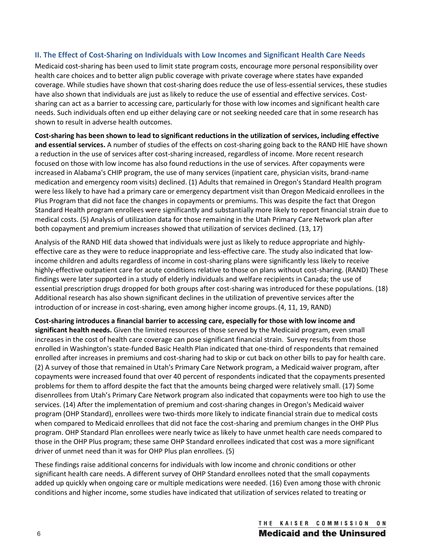## **II. The Effect of Cost-Sharing on Individuals with Low Incomes and Significant Health Care Needs**

Medicaid cost-sharing has been used to limit state program costs, encourage more personal responsibility over health care choices and to better align public coverage with private coverage where states have expanded coverage. While studies have shown that cost-sharing does reduce the use of less-essential services, these studies have also shown that individuals are just as likely to reduce the use of essential and effective services. Costsharing can act as a barrier to accessing care, particularly for those with low incomes and significant health care needs. Such individuals often end up either delaying care or not seeking needed care that in some research has shown to result in adverse health outcomes.

**Cost-sharing has been shown to lead to significant reductions in the utilization of services, including effective and essential services.** A number of studies of the effects on cost-sharing going back to the RAND HIE have shown a reduction in the use of services after cost-sharing increased, regardless of income. More recent research focused on those with low income has also found reductions in the use of services. After copayments were increased in Alabama's CHIP program, the use of many services (inpatient care, physician visits, brand-name medication and emergency room visits) declined. (1) Adults that remained in Oregon's Standard Health program were less likely to have had a primary care or emergency department visit than Oregon Medicaid enrollees in the Plus Program that did not face the changes in copayments or premiums. This was despite the fact that Oregon Standard Health program enrollees were significantly and substantially more likely to report financial strain due to medical costs. (5) Analysis of utilization data for those remaining in the Utah Primary Care Network plan after both copayment and premium increases showed that utilization of services declined. (13, 17)

Analysis of the RAND HIE data showed that individuals were just as likely to reduce appropriate and highlyeffective care as they were to reduce inappropriate and less-effective care. The study also indicated that lowincome children and adults regardless of income in cost-sharing plans were significantly less likely to receive highly-effective outpatient care for acute conditions relative to those on plans without cost-sharing. (RAND) These findings were later supported in a study of elderly individuals and welfare recipients in Canada; the use of essential prescription drugs dropped for both groups after cost-sharing was introduced for these populations. (18) Additional research has also shown significant declines in the utilization of preventive services after the introduction of or increase in cost-sharing, even among higher income groups. (4, 11, 19, RAND)

**Cost-sharing introduces a financial barrier to accessing care, especially for those with low income and significant health needs.** Given the limited resources of those served by the Medicaid program, even small increases in the cost of health care coverage can pose significant financial strain. Survey results from those enrolled in Washington's state-funded Basic Health Plan indicated that one-third of respondents that remained enrolled after increases in premiums and cost-sharing had to skip or cut back on other bills to pay for health care. (2) A survey of those that remained in Utah's Primary Care Network program, a Medicaid waiver program, after copayments were increased found that over 40 percent of respondents indicated that the copayments presented problems for them to afford despite the fact that the amounts being charged were relatively small. (17) Some disenrollees from Utah's Primary Care Network program also indicated that copayments were too high to use the services. (14) After the implementation of premium and cost-sharing changes in Oregon's Medicaid waiver program (OHP Standard), enrollees were two-thirds more likely to indicate financial strain due to medical costs when compared to Medicaid enrollees that did not face the cost-sharing and premium changes in the OHP Plus program. OHP Standard Plan enrollees were nearly twice as likely to have unmet health care needs compared to those in the OHP Plus program; these same OHP Standard enrollees indicated that cost was a more significant driver of unmet need than it was for OHP Plus plan enrollees. (5)

These findings raise additional concerns for individuals with low income and chronic conditions or other significant health care needs. A different survey of OHP Standard enrollees noted that the small copayments added up quickly when ongoing care or multiple medications were needed. (16) Even among those with chronic conditions and higher income, some studies have indicated that utilization of services related to treating or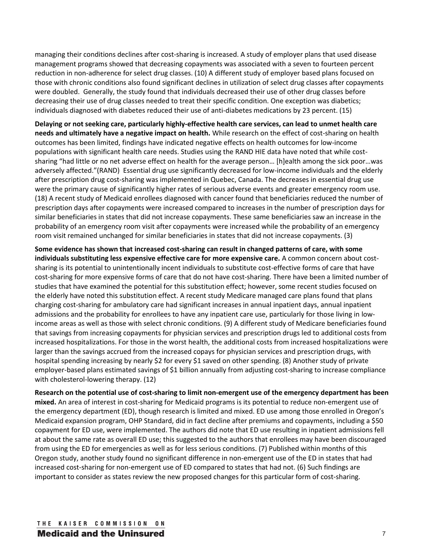managing their conditions declines after cost-sharing is increased. A study of employer plans that used disease management programs showed that decreasing copayments was associated with a seven to fourteen percent reduction in non-adherence for select drug classes. (10) A different study of employer based plans focused on those with chronic conditions also found significant declines in utilization of select drug classes after copayments were doubled. Generally, the study found that individuals decreased their use of other drug classes before decreasing their use of drug classes needed to treat their specific condition. One exception was diabetics; individuals diagnosed with diabetes reduced their use of anti-diabetes medications by 23 percent. (15)

**Delaying or not seeking care, particularly highly-effective health care services, can lead to unmet health care needs and ultimately have a negative impact on health.** While research on the effect of cost-sharing on health outcomes has been limited, findings have indicated negative effects on health outcomes for low-income populations with significant health care needs. Studies using the RAND HIE data have noted that while costsharing "had little or no net adverse effect on health for the average person… [h]ealth among the sick poor…was adversely affected."(RAND) Essential drug use significantly decreased for low-income individuals and the elderly after prescription drug cost-sharing was implemented in Quebec, Canada. The decreases in essential drug use were the primary cause of significantly higher rates of serious adverse events and greater emergency room use. (18) A recent study of Medicaid enrollees diagnosed with cancer found that beneficiaries reduced the number of prescription days after copayments were increased compared to increases in the number of prescription days for similar beneficiaries in states that did not increase copayments. These same beneficiaries saw an increase in the probability of an emergency room visit after copayments were increased while the probability of an emergency room visit remained unchanged for similar beneficiaries in states that did not increase copayments. (3)

**Some evidence has shown that increased cost-sharing can result in changed patterns of care, with some individuals substituting less expensive effective care for more expensive care.** A common concern about costsharing is its potential to unintentionally incent individuals to substitute cost-effective forms of care that have cost-sharing for more expensive forms of care that do not have cost-sharing. There have been a limited number of studies that have examined the potential for this substitution effect; however, some recent studies focused on the elderly have noted this substitution effect. A recent study Medicare managed care plans found that plans charging cost-sharing for ambulatory care had significant increases in annual inpatient days, annual inpatient admissions and the probability for enrollees to have any inpatient care use, particularly for those living in lowincome areas as well as those with select chronic conditions. (9) A different study of Medicare beneficiaries found that savings from increasing copayments for physician services and prescription drugs led to additional costs from increased hospitalizations. For those in the worst health, the additional costs from increased hospitalizations were larger than the savings accrued from the increased copays for physician services and prescription drugs, with hospital spending increasing by nearly \$2 for every \$1 saved on other spending. (8) Another study of private employer-based plans estimated savings of \$1 billion annually from adjusting cost-sharing to increase compliance with cholesterol-lowering therapy. (12)

**Research on the potential use of cost-sharing to limit non-emergent use of the emergency department has been mixed.** An area of interest in cost-sharing for Medicaid programs is its potential to reduce non-emergent use of the emergency department (ED), though research is limited and mixed. ED use among those enrolled in Oregon's Medicaid expansion program, OHP Standard, did in fact decline after premiums and copayments, including a \$50 copayment for ED use, were implemented. The authors did note that ED use resulting in inpatient admissions fell at about the same rate as overall ED use; this suggested to the authors that enrollees may have been discouraged from using the ED for emergencies as well as for less serious conditions. (7) Published within months of this Oregon study, another study found no significant difference in non-emergent use of the ED in states that had increased cost-sharing for non-emergent use of ED compared to states that had not. (6) Such findings are important to consider as states review the new proposed changes for this particular form of cost-sharing.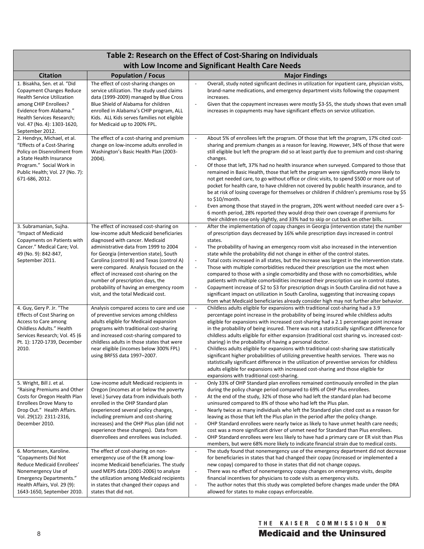## **Table 2: Research on the Effect of Cost-Sharing on Individuals with Low Income and Significant Health Care Needs**

|                                                                                                                                                                                                                                         |                                                                                                                                                                                                                                                                                                                                                                                                                                                                    | with Low mcome and significant nearth care necds                                                                                                                                                                                                                                                                                                                                                                                                                                                                                                                                                                                                                                                                                                                                                                                                                                                                                                                                                                                                                                                                                             |
|-----------------------------------------------------------------------------------------------------------------------------------------------------------------------------------------------------------------------------------------|--------------------------------------------------------------------------------------------------------------------------------------------------------------------------------------------------------------------------------------------------------------------------------------------------------------------------------------------------------------------------------------------------------------------------------------------------------------------|----------------------------------------------------------------------------------------------------------------------------------------------------------------------------------------------------------------------------------------------------------------------------------------------------------------------------------------------------------------------------------------------------------------------------------------------------------------------------------------------------------------------------------------------------------------------------------------------------------------------------------------------------------------------------------------------------------------------------------------------------------------------------------------------------------------------------------------------------------------------------------------------------------------------------------------------------------------------------------------------------------------------------------------------------------------------------------------------------------------------------------------------|
| <b>Citation</b>                                                                                                                                                                                                                         | <b>Population / Focus</b>                                                                                                                                                                                                                                                                                                                                                                                                                                          | <b>Major Findings</b>                                                                                                                                                                                                                                                                                                                                                                                                                                                                                                                                                                                                                                                                                                                                                                                                                                                                                                                                                                                                                                                                                                                        |
| 1. Bisakha, Sen. et al. "Did<br><b>Copayment Changes Reduce</b><br><b>Health Service Utilization</b><br>among CHIP Enrollees?<br>Evidence from Alabama."<br>Health Services Research;<br>Vol. 47 (No. 4): 1303-1620,<br>September 2012. | The effect of cost-sharing changes on<br>service utilization. The study used claims<br>data (1999-2009) managed by Blue Cross<br>Blue Shield of Alabama for children<br>enrolled in Alabama's CHIP program, ALL<br>Kids. ALL Kids serves families not eligible<br>for Medicaid up to 200% FPL.                                                                                                                                                                     | Overall, study noted significant declines in utilization for inpatient care, physician visits,<br>$\sim$<br>brand-name medications, and emergency department visits following the copayment<br>increases.<br>Given that the copayment increases were mostly \$3-\$5, the study shows that even small<br>$\mathbb{Z}$<br>increases in copayments may have significant effects on service utilization.                                                                                                                                                                                                                                                                                                                                                                                                                                                                                                                                                                                                                                                                                                                                         |
| 2. Hendryx, Michael, et al.<br>"Effects of a Cost-Sharing<br>Policy on Disenrollment from<br>a State Health Insurance<br>Program." Social Work in<br>Public Health; Vol. 27 (No. 7):<br>671-686, 2012.                                  | The effect of a cost-sharing and premium<br>change on low-income adults enrolled in<br>Washington's Basic Health Plan (2003-<br>$2004$ ).                                                                                                                                                                                                                                                                                                                          | About 5% of enrollees left the program. Of those that left the program, 17% cited cost-<br>$\mathbb{Z}$<br>sharing and premium changes as a reason for leaving. However, 34% of those that were<br>still eligible but left the program did so at least partly due to premium and cost-sharing<br>changes.<br>Of those that left, 37% had no health insurance when surveyed. Compared to those that<br>$\overline{\phantom{a}}$<br>remained in Basic Health, those that left the program were significantly more likely to<br>not get needed care, to go without office or clinic visits, to spend \$500 or more out of<br>pocket for health care, to have children not covered by public health insurance, and to<br>be at risk of losing coverage for themselves or children if children's premiums rose by \$5<br>to \$10/month.<br>Even among those that stayed in the program, 20% went without needed care over a 5-<br>$\overline{\phantom{a}}$<br>6 month period, 28% reported they would drop their own coverage if premiums for<br>their children rose only slightly, and 33% had to skip or cut back on other bills.               |
| 3. Subramanian, Sujha.<br>"Impact of Medicaid<br>Copayments on Patients with<br>Cancer." Medical Care; Vol.<br>49 (No. 9): 842-847,<br>September 2011.                                                                                  | The effect of increased cost-sharing on<br>low-income adult Medicaid beneficiaries<br>diagnosed with cancer. Medicaid<br>administrative data from 1999 to 2004<br>for Georgia (intervention state), South<br>Carolina (control B) and Texas (control A)<br>were compared. Analysis focused on the<br>effect of increased cost-sharing on the<br>number of prescription days, the<br>probability of having an emergency room<br>visit, and the total Medicaid cost. | After the implementation of copay changes in Georgia (intervention state) the number<br>$\mathbb{Z}$<br>of prescription days decreased by 16% while prescription days increased in control<br>states.<br>The probability of having an emergency room visit also increased in the intervention<br>$\overline{\phantom{a}}$<br>state while the probability did not change in either of the control states.<br>Total costs increased in all states, but the increase was largest in the intervention state.<br>$\ddot{\phantom{1}}$<br>Those with multiple comorbidities reduced their prescription use the most when<br>$\overline{\phantom{a}}$<br>compared to those with a single comorbidity and those with no comorbidities, while<br>patients with multiple comorbidities increased their prescription use in control states.<br>Copayment increase of \$2 to \$3 for prescription drugs in South Carolina did not have a<br>$\overline{\phantom{a}}$<br>significant impact on utilization in South Carolina, suggesting that increasing copays<br>from what Medicaid beneficiaries already consider high may not further alter behavior. |
| 4. Guy, Gery P. Jr. "The<br>Effects of Cost Sharing on<br>Access to Care among<br>Childless Adults." Health<br>Services Research; Vol. 45 (6<br>Pt. 1): 1720-1739, December<br>2010.                                                    | Analysis compared access to care and use<br>of preventive services among childless<br>adults eligible for Medicaid expansion<br>programs with traditional cost-sharing<br>and increased cost-sharing compared to<br>childless adults in those states that were<br>near eligible (incomes below 300% FPL)<br>using BRFSS data 1997-2007.                                                                                                                            | Childless adults eligible for expansions with traditional cost-sharing had a 3.9<br>$\ddot{\phantom{1}}$<br>percentage point increase in the probability of being insured while childless adults<br>eligible for expansions with increased cost-sharing had a 2.1 percentage point increase<br>in the probability of being insured. There was not a statistically significant difference for<br>childless adults eligible for either expansion (traditional cost sharing vs. increased cost-<br>sharing) in the probability of having a personal doctor.<br>$\mathbb{Z}$<br>Childless adults eligible for expansions with traditional cost-sharing saw statistically<br>significant higher probabilities of utilizing preventive health services. There was no<br>statistically significant difference in the utilization of preventive services for childless<br>adults eligible for expansions with increased cost-sharing and those eligible for<br>expansions with traditional cost-sharing.                                                                                                                                             |
| 5. Wright, Bill J. et al.<br>"Raising Premiums and Other<br>Costs for Oregon Health Plan<br>Enrollees Drove Many to<br>Drop Out." Health Affairs.<br>Vol. 29(12): 2311-2316,<br>December 2010.                                          | Low-income adult Medicaid recipients in<br>Oregon (incomes at or below the poverty<br>level.) Survey data from individuals both<br>enrolled in the OHP Standard plan<br>(experienced several policy changes,<br>including premium and cost-sharing<br>increases) and the OHP Plus plan (did not<br>experience these changes). Data from<br>disenrollees and enrollees was included.                                                                                | Only 33% of OHP Standard plan enrollees remained continuously enrolled in the plan<br>$\overline{\phantom{a}}$<br>during the policy change period compared to 69% of OHP Plus enrollees.<br>At the end of the study, 32% of those who had left the standard plan had become<br>$\overline{\phantom{a}}$<br>uninsured compared to 8% of those who had left the Plus plan.<br>Nearly twice as many individuals who left the Standard plan cited cost as a reason for<br>$\overline{\phantom{a}}$<br>leaving as those that left the Plus plan in the period after the policy change.<br>OHP Standard enrollees were nearly twice as likely to have unmet health care needs;<br>$\overline{\phantom{a}}$<br>cost was a more significant driver of unmet need for Standard than Plus enrollees.<br>OHP Standard enrollees were less likely to have had a primary care or ER visit than Plus<br>$\overline{\phantom{a}}$<br>members, but were 68% more likely to indicate financial strain due to medical costs.                                                                                                                                   |
| 6. Mortensen, Karoline.<br>"Copayments Did Not<br>Reduce Medicaid Enrollees'<br>Nonemergency Use of<br><b>Emergency Departments."</b><br>Health Affairs, Vol. 29 (9):<br>1643-1650, September 2010.                                     | The effect of cost-sharing on non-<br>emergency use of the ER among low-<br>income Medicaid beneficiaries. The study<br>used MEPS data (2001-2006) to analyze<br>the utilization among Medicaid recipients<br>in states that changed their copays and<br>states that did not.                                                                                                                                                                                      | The study found that nonemergency use of the emergency department did not decrease<br>$\overline{\phantom{a}}$<br>for beneficiaries in states that had changed their copay (increased or implemented a<br>new copay) compared to those in states that did not change copays.<br>There was no effect of nonemergency copay changes on emergency visits, despite<br>$\overline{\phantom{a}}$<br>financial incentives for physicians to code visits as emergency visits.<br>The author notes that this study was completed before changes made under the DRA<br>$\overline{\phantom{a}}$<br>allowed for states to make copays enforceable.                                                                                                                                                                                                                                                                                                                                                                                                                                                                                                      |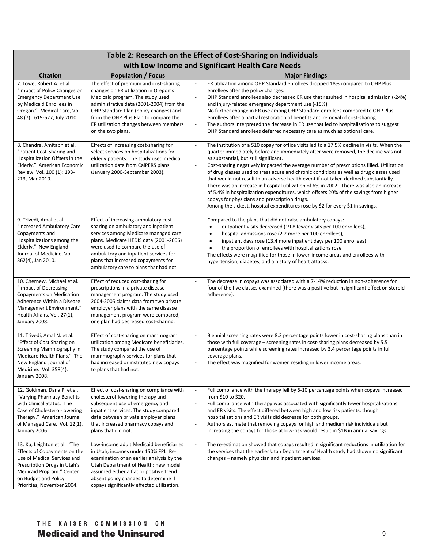| Table 2: Research on the Effect of Cost-Sharing on Individuals                                                                                                                                                 |                                                                                                                                                                                                                                                                                                                             |                                                                                                                                                                                                                                                                                                                                                                                                                                                                                                                                                                                                                                                                                                                                                                                                                                                                                                           |  |
|----------------------------------------------------------------------------------------------------------------------------------------------------------------------------------------------------------------|-----------------------------------------------------------------------------------------------------------------------------------------------------------------------------------------------------------------------------------------------------------------------------------------------------------------------------|-----------------------------------------------------------------------------------------------------------------------------------------------------------------------------------------------------------------------------------------------------------------------------------------------------------------------------------------------------------------------------------------------------------------------------------------------------------------------------------------------------------------------------------------------------------------------------------------------------------------------------------------------------------------------------------------------------------------------------------------------------------------------------------------------------------------------------------------------------------------------------------------------------------|--|
| with Low Income and Significant Health Care Needs                                                                                                                                                              |                                                                                                                                                                                                                                                                                                                             |                                                                                                                                                                                                                                                                                                                                                                                                                                                                                                                                                                                                                                                                                                                                                                                                                                                                                                           |  |
| <b>Citation</b>                                                                                                                                                                                                | <b>Population / Focus</b>                                                                                                                                                                                                                                                                                                   | <b>Major Findings</b>                                                                                                                                                                                                                                                                                                                                                                                                                                                                                                                                                                                                                                                                                                                                                                                                                                                                                     |  |
| 7. Lowe, Robert A. et al.<br>"Impact of Policy Changes on<br><b>Emergency Department Use</b><br>by Medicaid Enrollees in<br>Oregon." Medical Care, Vol.<br>48 (7): 619-627, July 2010.                         | The effect of premium and cost-sharing<br>changes on ER utilization in Oregon's<br>Medicaid program. The study used<br>administrative data (2001-2004) from the<br>OHP Standard Plan (policy changes) and<br>from the OHP Plus Plan to compare the<br>ER utilization changes between members<br>on the two plans.           | $\overline{\phantom{a}}$<br>ER utilization among OHP Standard enrollees dropped 18% compared to OHP Plus<br>enrollees after the policy changes.<br>OHP Standard enrollees also decreased ER use that resulted in hospital admission (-24%)<br>$\overline{\phantom{a}}$<br>and injury-related emergency department use (-15%).<br>No further change in ER use among OHP Standard enrollees compared to OHP Plus<br>$\overline{\phantom{a}}$<br>enrollees after a partial restoration of benefits and removal of cost-sharing.<br>The authors interpreted the decrease in ER use that led to hospitalizations to suggest<br>$\overline{\phantom{a}}$<br>OHP Standard enrollees deferred necessary care as much as optional care.                                                                                                                                                                            |  |
| 8. Chandra, Amitabh et al.<br>"Patient Cost-Sharing and<br>Hospitalization Offsets in the<br>Elderly." American Economic<br>Review. Vol. 100 (1): 193-<br>213, Mar 2010.                                       | Effects of increasing cost-sharing for<br>select services on hospitalizations for<br>elderly patients. The study used medical<br>utilization data from CalPERS plans<br>(January 2000-September 2003).                                                                                                                      | $\blacksquare$<br>The institution of a \$10 copay for office visits led to a 17.5% decline in visits. When the<br>quarter immediately before and immediately after were removed, the decline was not<br>as substantial, but still significant.<br>Cost-sharing negatively impacted the average number of prescriptions filled. Utilization<br>$\blacksquare$<br>of drug classes used to treat acute and chronic conditions as well as drug classes used<br>that would not result in an adverse health event if not taken declined substantially.<br>There was an increase in hospital utilization of 6% in 2002. There was also an increase<br>$\overline{\phantom{a}}$<br>of 5.4% in hospitalization expenditures, which offsets 20% of the savings from higher<br>copays for physicians and prescription drugs.<br>Among the sickest, hospital expenditures rose by \$2 for every \$1 in savings.<br>÷, |  |
| 9. Trivedi, Amal et al.<br>"Increased Ambulatory Care<br>Copayments and<br>Hospitalizations among the<br>Elderly." New England<br>Journal of Medicine. Vol.<br>362(4), Jan 2010.                               | Effect of increasing ambulatory cost-<br>sharing on ambulatory and inpatient<br>services among Medicare managed care<br>plans. Medicare HEDIS data (2001-2006)<br>were used to compare the use of<br>ambulatory and inpatient services for<br>plans that increased copayments for<br>ambulatory care to plans that had not. | Compared to the plans that did not raise ambulatory copays:<br>$\overline{\phantom{a}}$<br>outpatient visits decreased (19.8 fewer visits per 100 enrollees),<br>hospital admissions rose (2.2 more per 100 enrollees),<br>$\bullet$<br>inpatient days rose (13.4 more inpatient days per 100 enrollees)<br>$\bullet$<br>the proportion of enrollees with hospitalizations rose<br>The effects were magnified for those in lower-income areas and enrollees with<br>$\bar{\phantom{a}}$<br>hypertension, diabetes, and a history of heart attacks.                                                                                                                                                                                                                                                                                                                                                        |  |
| 10. Chernew, Michael et al.<br>"Impact of Decreasing<br>Copayments on Medication<br>Adherence Within a Disease<br>Management Environment."<br>Health Affairs. Vol. 27(1),<br>January 2008.                     | Effect of reduced cost-sharing for<br>prescriptions in a private disease<br>management program. The study used<br>2004-2005 claims data from two private<br>employer plans with the same disease<br>management program were compared;<br>one plan had decreased cost-sharing.                                               | The decrease in copays was associated with a 7-14% reduction in non-adherence for<br>$\blacksquare$<br>four of the five classes examined (there was a positive but insignificant effect on steroid<br>adherence).                                                                                                                                                                                                                                                                                                                                                                                                                                                                                                                                                                                                                                                                                         |  |
| 11. Trivedi, Amal N. et al.<br>"Effect of Cost Sharing on<br>Screening Mammography in<br>Medicare Health Plans." The<br>New England Journal of<br>Medicine. Vol. 358(4),<br>January 2008.                      | Effect of cost-sharing on mammogram<br>utilization among Medicare beneficiaries.<br>The study compared the use of<br>mammography services for plans that<br>had increased or instituted new copays<br>to plans that had not.                                                                                                | Biennial screening rates were 8.3 percentage points lower in cost-sharing plans than in<br>$\overline{\phantom{a}}$<br>those with full coverage - screening rates in cost-sharing plans decreased by 5.5<br>percentage points while screening rates increased by 3.4 percentage points in full<br>coverage plans.<br>The effect was magnified for women residing in lower income areas.                                                                                                                                                                                                                                                                                                                                                                                                                                                                                                                   |  |
| 12. Goldman, Dana P. et al.<br>"Varying Pharmacy Benefits<br>with Clinical Status: The<br>Case of Cholesterol-lowering<br>Therapy." American Journal<br>of Managed Care. Vol. 12(1),<br>January 2006.          | Effect of cost-sharing on compliance with<br>cholesterol-lowering therapy and<br>subsequent use of emergency and<br>inpatient services. The study compared<br>data between private employer plans<br>that increased pharmacy copays and<br>plans that did not.                                                              | $\blacksquare$<br>Full compliance with the therapy fell by 6-10 percentage points when copays increased<br>from \$10 to \$20.<br>Full compliance with therapy was associated with significantly fewer hospitalizations<br>$\Box$<br>and ER visits. The effect differed between high and low risk patients, though<br>hospitalizations and ER visits did decrease for both groups.<br>Authors estimate that removing copays for high and medium risk individuals but<br>$\bar{\phantom{a}}$<br>increasing the copays for those at low-risk would result in \$1B in annual savings.                                                                                                                                                                                                                                                                                                                         |  |
| 13. Ku, Leighton et al. "The<br>Effects of Copayments on the<br>Use of Medical Services and<br>Prescription Drugs in Utah's<br>Medicaid Program." Center<br>on Budget and Policy<br>Priorities, November 2004. | Low-income adult Medicaid beneficiaries<br>in Utah; incomes under 150% FPL. Re-<br>examination of an earlier analysis by the<br>Utah Department of Health; new model<br>assumed either a flat or positive trend<br>absent policy changes to determine if<br>copays significantly effected utilization.                      | $\overline{\phantom{a}}$<br>The re-estimation showed that copays resulted in significant reductions in utilization for<br>the services that the earlier Utah Department of Health study had shown no significant<br>changes - namely physician and inpatient services.                                                                                                                                                                                                                                                                                                                                                                                                                                                                                                                                                                                                                                    |  |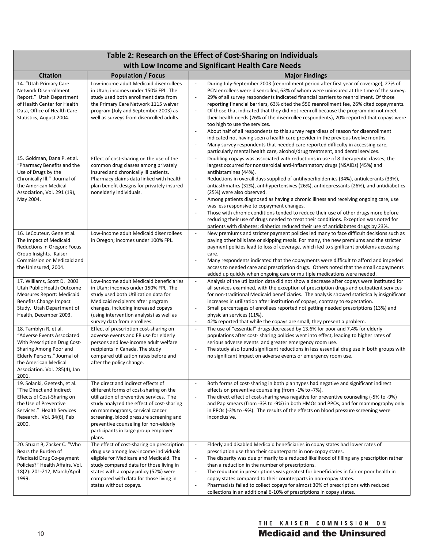| Table 2: Research on the Effect of Cost-Sharing on Individuals                                                                                                                                                  |                                                                                                                                                                                                                                                                                                                                              |                                                                                                                                                                                                                                                                                                                                                                                                                                                                                                                                                                                                                                                                                                                                                                                                                                                                                                                                                                                                                                        |  |
|-----------------------------------------------------------------------------------------------------------------------------------------------------------------------------------------------------------------|----------------------------------------------------------------------------------------------------------------------------------------------------------------------------------------------------------------------------------------------------------------------------------------------------------------------------------------------|----------------------------------------------------------------------------------------------------------------------------------------------------------------------------------------------------------------------------------------------------------------------------------------------------------------------------------------------------------------------------------------------------------------------------------------------------------------------------------------------------------------------------------------------------------------------------------------------------------------------------------------------------------------------------------------------------------------------------------------------------------------------------------------------------------------------------------------------------------------------------------------------------------------------------------------------------------------------------------------------------------------------------------------|--|
|                                                                                                                                                                                                                 |                                                                                                                                                                                                                                                                                                                                              | with Low Income and Significant Health Care Needs                                                                                                                                                                                                                                                                                                                                                                                                                                                                                                                                                                                                                                                                                                                                                                                                                                                                                                                                                                                      |  |
| <b>Citation</b>                                                                                                                                                                                                 | <b>Population / Focus</b>                                                                                                                                                                                                                                                                                                                    | <b>Major Findings</b>                                                                                                                                                                                                                                                                                                                                                                                                                                                                                                                                                                                                                                                                                                                                                                                                                                                                                                                                                                                                                  |  |
| 14. "Utah Primary Care<br>Network Disenrollment<br>Report." Utah Department<br>of Health Center for Health<br>Data, Office of Health Care<br>Statistics, August 2004.                                           | Low-income adult Medicaid disenrollees<br>in Utah; incomes under 150% FPL. The<br>study used both enrollment data from<br>the Primary Care Network 1115 waiver<br>program (July and September 2003) as<br>well as surveys from disenrolled adults.                                                                                           | During July-September 2003 (reenrollment period after first year of coverage), 27% of<br>$\overline{\phantom{a}}$<br>PCN enrollees were disenrolled, 63% of whom were uninsured at the time of the survey.<br>29% of all survey respondents indicated financial barriers to reenrollment. Of those<br>$\overline{\phantom{a}}$<br>reporting financial barriers, 63% cited the \$50 reenrollment fee, 26% cited copayments.<br>Of those that indicated that they did not reenroll because the program did not meet<br>÷,<br>their health needs (26% of the disenrollee respondents), 20% reported that copays were<br>too high to use the services.<br>About half of all respondents to this survey regardless of reason for disenrollment<br>$\sim$<br>indicated not having seen a health care provider in the previous twelve months.<br>Many survey respondents that needed care reported difficulty in accessing care,<br>$\overline{\phantom{a}}$<br>particularly mental health care, alcohol/drug treatment, and dental services. |  |
| 15. Goldman, Dana P. et al.<br>"Pharmacy Benefits and the<br>Use of Drugs by the<br>Chronically III." Journal of<br>the American Medical<br>Association, Vol. 291 (19),<br>May 2004.                            | Effect of cost-sharing on the use of the<br>common drug classes among privately<br>insured and chronically ill patients.<br>Pharmacy claims data linked with health<br>plan benefit designs for privately insured<br>nonelderly individuals.                                                                                                 | Doubling copays was associated with reductions in use of 8 therapeutic classes; the<br>$\overline{\phantom{a}}$<br>largest occurred for nonsteroidal anti-inflammatory drugs (NSAIDs) (45%) and<br>antihistamines (44%).<br>Reductions in overall days supplied of antihyperlipidemics (34%), antiulcerants (33%),<br>$\overline{\phantom{a}}$<br>antiasthmatics (32%), antihypertensives (26%), antidepressants (26%), and antidiabetics<br>(25%) were also observed.<br>Among patients diagnosed as having a chronic illness and receiving ongoing care, use<br>$\overline{\phantom{a}}$<br>was less responsive to copayment changes.<br>Those with chronic conditions tended to reduce their use of other drugs more before<br>÷,<br>reducing their use of drugs needed to treat their conditions. Exception was noted for<br>patients with diabetes; diabetics reduced their use of antidiabetes drugs by 23%.                                                                                                                     |  |
| 16. LeCouteur, Gene et al.<br>The Impact of Medicaid<br>Reductions in Oregon: Focus<br>Group Insights. Kaiser<br>Commission on Medicaid and<br>the Uninsured, 2004.                                             | Low-income adult Medicaid disenrollees<br>in Oregon; incomes under 100% FPL.                                                                                                                                                                                                                                                                 | New premiums and stricter payment policies led many to face difficult decisions such as<br>$\sim$<br>paying other bills late or skipping meals. For many, the new premiums and the stricter<br>payment policies lead to loss of coverage, which led to significant problems accessing<br>care.<br>Many respondents indicated that the copayments were difficult to afford and impeded<br>÷,<br>access to needed care and prescription drugs. Others noted that the small copayments<br>added up quickly when ongoing care or multiple medications were needed.                                                                                                                                                                                                                                                                                                                                                                                                                                                                         |  |
| 17. Williams, Scott D. 2003<br>Utah Public Health Outcome<br>Measures Report: Medicaid<br>Benefits Change Impact<br>Study. Utah Department of<br>Health, December 2003.                                         | Low-income adult Medicaid beneficiaries<br>in Utah; incomes under 150% FPL. The<br>study used both Utilization data for<br>Medicaid recipients after program<br>changes, including increased copays<br>(using intervention analysis) as well as<br>survey data from enrollees.                                                               | Analysis of the utilization data did not show a decrease after copays were instituted for<br>$\overline{\phantom{a}}$<br>all services examined, with the exception of prescription drugs and outpatient services<br>for non-traditional Medicaid beneficiaries. The analysis showed statistically insignificant<br>increases in utilization after institution of copays, contrary to expectation.<br>Small percentages of enrollees reported not getting needed prescriptions (13%) and<br>$\overline{\phantom{a}}$<br>physician services (11%).<br>42% reported that while the copays are small, they present a problem.<br>$\overline{\phantom{a}}$                                                                                                                                                                                                                                                                                                                                                                                  |  |
| 18. Tamblyn R, et al.<br>"Adverse Events Associated<br>With Prescription Drug Cost-<br>Sharing Among Poor and<br>Elderly Persons." Journal of<br>the American Medical<br>Association. Vol. 285(4), Jan<br>2001. | Effect of prescription cost-sharing on<br>adverse events and ER use for elderly<br>persons and low-income adult welfare<br>recipients in Canada. The study<br>compared utilization rates before and<br>after the policy change.                                                                                                              | The use of "essential" drugs decreased by 13.6% for poor and 7.4% for elderly<br>$\overline{\phantom{a}}$<br>populations after cost- sharing policies went into effect, leading to higher rates of<br>serious adverse events and greater emergency room use.<br>The study also found significant reductions in less essential drug use in both groups with<br>÷,<br>no significant impact on adverse events or emergency room use.                                                                                                                                                                                                                                                                                                                                                                                                                                                                                                                                                                                                     |  |
| 19. Solanki, Geetesh, et al.<br>"The Direct and Indirect<br>Effects of Cost-Sharing on<br>the Use of Preventive<br>Services." Health Services<br>Research. Vol. 34(6), Feb<br>2000.                             | The direct and indirect effects of<br>different forms of cost-sharing on the<br>utilization of preventive services. The<br>study analyzed the effect of cost-sharing<br>on mammograms, cervical cancer<br>screening, blood pressure screening and<br>preventive counseling for non-elderly<br>participants in large group employer<br>plans. | Both forms of cost-sharing in both plan types had negative and significant indirect<br>$\overline{\phantom{a}}$<br>effects on preventive counseling (from -1% to -7%).<br>The direct effect of cost-sharing was negative for preventive counseling (-5% to -9%)<br>$\overline{\phantom{a}}$<br>and Pap smears (from -3% to -9%) in both HMOs and PPOs, and for mammography only<br>in PPOs (-3% to -9%). The results of the effects on blood pressure screening were<br>inconclusive.                                                                                                                                                                                                                                                                                                                                                                                                                                                                                                                                                  |  |
| 20. Stuart B, Zacker C. "Who<br>Bears the Burden of<br>Medicaid Drug Co-payment<br>Policies?" Health Affairs. Vol.<br>18(2): 201-212, March/April<br>1999.                                                      | The effect of cost-sharing on prescription<br>drug use among low-income individuals<br>eligible for Medicare and Medicaid. The<br>study compared data for those living in<br>states with a copay policy (52%) were<br>compared with data for those living in<br>states without copays.                                                       | Elderly and disabled Medicaid beneficiaries in copay states had lower rates of<br>$\omega$<br>prescription use than their counterparts in non-copay states.<br>The disparity was due primarily to a reduced likelihood of filling any prescription rather<br>$\overline{\phantom{a}}$<br>than a reduction in the number of prescriptions.<br>The reduction in prescriptions was greatest for beneficiaries in fair or poor health in<br>$\sim$<br>copay states compared to their counterparts in non-copay states.<br>Pharmacists failed to collect copays for almost 30% of prescriptions with reduced<br>$\overline{a}$<br>collections in an additional 6-10% of prescriptions in copay states.                                                                                                                                                                                                                                                                                                                                      |  |

# THE KAISER COMMISSION ON **Medicaid and the Uninsured**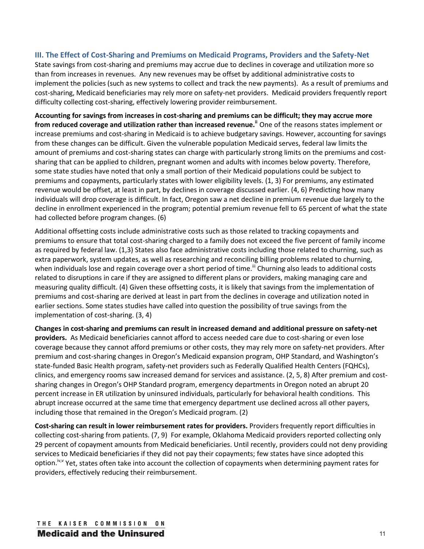## **III. The Effect of Cost-Sharing and Premiums on Medicaid Programs, Providers and the Safety-Net**

State savings from cost-sharing and premiums may accrue due to declines in coverage and utilization more so than from increases in revenues. Any new revenues may be offset by additional administrative costs to implement the policies (such as new systems to collect and track the new payments). As a result of premiums and cost-sharing, Medicaid beneficiaries may rely more on safety-net providers. Medicaid providers frequently report difficulty collecting cost-sharing, effectively lowering provider reimbursement.

**Accounting for savings from increases in cost-sharing and premiums can be difficult; they may accrue more from reduced coverage and utilization rather than increased revenue.ii** One of the reasons states implement or increase premiums and cost-sharing in Medicaid is to achieve budgetary savings. However, accounting for savings from these changes can be difficult. Given the vulnerable population Medicaid serves, federal law limits the amount of premiums and cost-sharing states can charge with particularly strong limits on the premiums and costsharing that can be applied to children, pregnant women and adults with incomes below poverty. Therefore, some state studies have noted that only a small portion of their Medicaid populations could be subject to premiums and copayments, particularly states with lower eligibility levels. (1, 3) For premiums, any estimated revenue would be offset, at least in part, by declines in coverage discussed earlier. (4, 6) Predicting how many individuals will drop coverage is difficult. In fact, Oregon saw a net decline in premium revenue due largely to the decline in enrollment experienced in the program; potential premium revenue fell to 65 percent of what the state had collected before program changes. (6)

Additional offsetting costs include administrative costs such as those related to tracking copayments and premiums to ensure that total cost-sharing charged to a family does not exceed the five percent of family income as required by federal law. (1,3) States also face administrative costs including those related to churning, such as extra paperwork, system updates, as well as researching and reconciling billing problems related to churning, when individuals lose and regain coverage over a short period of time.<sup>iii</sup> Churning also leads to additional costs related to disruptions in care if they are assigned to different plans or providers, making managing care and measuring quality difficult. (4) Given these offsetting costs, it is likely that savings from the implementation of premiums and cost-sharing are derived at least in part from the declines in coverage and utilization noted in earlier sections. Some states studies have called into question the possibility of true savings from the implementation of cost-sharing. (3, 4)

**Changes in cost-sharing and premiums can result in increased demand and additional pressure on safety-net providers.** As Medicaid beneficiaries cannot afford to access needed care due to cost-sharing or even lose coverage because they cannot afford premiums or other costs, they may rely more on safety-net providers. After premium and cost-sharing changes in Oregon's Medicaid expansion program, OHP Standard, and Washington's state-funded Basic Health program, safety-net providers such as Federally Qualified Health Centers (FQHCs), clinics, and emergency rooms saw increased demand for services and assistance. (2, 5, 8) After premium and costsharing changes in Oregon's OHP Standard program, emergency departments in Oregon noted an abrupt 20 percent increase in ER utilization by uninsured individuals, particularly for behavioral health conditions. This abrupt increase occurred at the same time that emergency department use declined across all other payers, including those that remained in the Oregon's Medicaid program. (2)

**Cost-sharing can result in lower reimbursement rates for providers.** Providers frequently report difficulties in collecting cost-sharing from patients. (7, 9) For example, Oklahoma Medicaid providers reported collecting only 29 percent of copayment amounts from Medicaid beneficiaries. Until recently, providers could not deny providing services to Medicaid beneficiaries if they did not pay their copayments; few states have since adopted this option.<sup>iv,v</sup> Yet, states often take into account the collection of copayments when determining payment rates for providers, effectively reducing their reimbursement.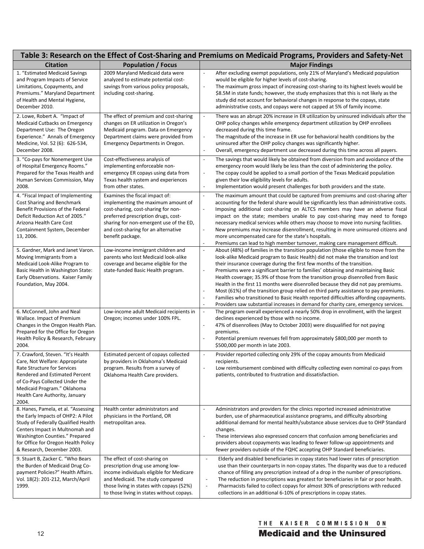| Table 3: Research on the Effect of Cost-Sharing and Premiums on Medicaid Programs, Providers and Safety-Net                                                                                                                                                |                                                                                                                                                                                                                                                          |                                                                                                                                                                                                                                                                                                                                                                                                                                                                                                                                                                                                                                                                                                                                                                                                                                                                                                                      |  |
|------------------------------------------------------------------------------------------------------------------------------------------------------------------------------------------------------------------------------------------------------------|----------------------------------------------------------------------------------------------------------------------------------------------------------------------------------------------------------------------------------------------------------|----------------------------------------------------------------------------------------------------------------------------------------------------------------------------------------------------------------------------------------------------------------------------------------------------------------------------------------------------------------------------------------------------------------------------------------------------------------------------------------------------------------------------------------------------------------------------------------------------------------------------------------------------------------------------------------------------------------------------------------------------------------------------------------------------------------------------------------------------------------------------------------------------------------------|--|
| <b>Citation</b>                                                                                                                                                                                                                                            | <b>Population / Focus</b>                                                                                                                                                                                                                                | <b>Major Findings</b>                                                                                                                                                                                                                                                                                                                                                                                                                                                                                                                                                                                                                                                                                                                                                                                                                                                                                                |  |
| 1. "Estimated Medicaid Savings<br>and Program Impacts of Service<br>Limitations, Copayments, and<br>Premiums." Maryland Department<br>of Health and Mental Hygiene,<br>December 2010.                                                                      | 2009 Maryland Medicaid data were<br>analyzed to estimate potential cost-<br>savings from various policy proposals,<br>including cost-sharing.                                                                                                            | After excluding exempt populations, only 21% of Maryland's Medicaid population<br>$\overline{\phantom{a}}$<br>would be eligible for higher levels of cost-sharing.<br>$\overline{\phantom{a}}$<br>The maximum gross impact of increasing cost-sharing to its highest levels would be<br>\$8.5M in state funds; however, the study emphasizes that this is not likely as the<br>study did not account for behavioral changes in response to the copays, state<br>administrative costs, and copays were not capped at 5% of family income.                                                                                                                                                                                                                                                                                                                                                                             |  |
| 2. Lowe, Robert A. "Impact of<br>Medicaid Cutbacks on Emergency<br>Department Use: The Oregon<br>Experience." Annals of Emergency<br>Medicine, Vol. 52 (6): 626-534,<br>December 2008.                                                                     | The effect of premium and cost-sharing<br>changes on ER utilization in Oregon's<br>Medicaid program. Data on Emergency<br>Department claims were provided from<br><b>Emergency Departments in Oregon.</b>                                                | There was an abrupt 20% increase in ER utilization by uninsured individuals after the<br>OHP policy changes while emergency department utilization by OHP enrollees<br>decreased during this time frame.<br>The magnitude of the increase in ER use for behavioral health conditions by the<br>$\overline{\phantom{a}}$<br>uninsured after the OHP policy changes was significantly higher.<br>Overall, emergency department use decreased during this time across all payers.<br>$\overline{\phantom{a}}$                                                                                                                                                                                                                                                                                                                                                                                                           |  |
| 3. "Co-pays for Nonemergent Use<br>of Hospital Emergency Rooms."<br>Prepared for the Texas Health and<br>Human Services Commission, May<br>2008.                                                                                                           | Cost-effectiveness analysis of<br>implementing enforceable non-<br>emergency ER copays using data from<br>Texas health system and experiences<br>from other states.                                                                                      | The savings that would likely be obtained from diversion from and avoidance of the<br>$\overline{\phantom{a}}$<br>emergency room would likely be less than the cost of administering the policy.<br>The copay could be applied to a small portion of the Texas Medicaid population<br>$\overline{\phantom{a}}$<br>given their low eligibility levels for adults.<br>Implementation would present challenges for both providers and the state.<br>$\overline{\phantom{a}}$                                                                                                                                                                                                                                                                                                                                                                                                                                            |  |
| 4. "Fiscal Impact of Implementing<br>Cost Sharing and Benchmark<br>Benefit Provisions of the Federal<br>Deficit Reduction Act of 2005."<br>Arizona Health Care Cost<br>Containment System, December<br>13, 2006.                                           | Examines the fiscal impact of:<br>implementing the maximum amount of<br>cost-sharing, cost-sharing for non-<br>preferred prescription drugs, cost-<br>sharing for non-emergent use of the ED,<br>and cost-sharing for an alternative<br>benefit package. | The maximum amount that could be captured from premiums and cost-sharing after<br>$\overline{\phantom{a}}$<br>accounting for the federal share would be significantly less than administrative costs.<br>Imposing additional cost-sharing on ALTCS members may have an adverse fiscal<br>$\overline{\phantom{a}}$<br>impact on the state; members unable to pay cost-sharing may need to forego<br>necessary medical services while others may choose to move into nursing facilities.<br>New premiums may increase disenrollment, resulting in more uninsured citizens and<br>$\blacksquare$<br>more uncompensated care for the state's hospitals.<br>Premiums can lead to high member turnover, making care management difficult.<br>$\blacksquare$                                                                                                                                                                |  |
| 5. Gardner, Mark and Janet Varon.<br>Moving Immigrants from a<br>Medicaid Look-Alike Program to<br>Basic Health in Washington State:<br>Early Observations. Kaiser Family<br>Foundation, May 2004.                                                         | Low-income immigrant children and<br>parents who lost Medicaid look-alike<br>coverage and became eligible for the<br>state-funded Basic Health program.                                                                                                  | About (48%) of families in the transition population (those eligible to move from the<br>$\overline{\phantom{a}}$<br>look-alike Medicaid program to Basic Health) did not make the transition and lost<br>their insurance coverage during the first few months of the transition.<br>Premiums were a significant barrier to families' obtaining and maintaining Basic<br>$\overline{\phantom{a}}$<br>Health coverage; 35.9% of those from the transition group disenrolled from Basic<br>Health in the first 11 months were disenrolled because they did not pay premiums.<br>Most (61%) of the transition group relied on third party assistance to pay premiums.<br>$\overline{\phantom{a}}$<br>Families who transitioned to Basic Health reported difficulties affording copayments.<br>$\overline{\phantom{a}}$<br>Providers saw substantial increases in demand for charity care, emergency services.<br>$\sim$ |  |
| 6. McConnell, John and Neal<br>Wallace. Impact of Premium<br>Changes in the Oregon Health Plan.<br>Prepared for the Office for Oregon<br>Health Policy & Research, February<br>2004.                                                                       | Low-income adult Medicaid recipients in<br>Oregon; incomes under 100% FPL.                                                                                                                                                                               | The program overall experienced a nearly 50% drop in enrollment, with the largest<br>$\overline{\phantom{a}}$<br>declines experienced by those with no income.<br>47% of disenrollees (May to October 2003) were disqualified for not paying<br>premiums.<br>Potential premium revenues fell from approximately \$800,000 per month to<br>\$500,000 per month in late 2003.                                                                                                                                                                                                                                                                                                                                                                                                                                                                                                                                          |  |
| 7. Crawford, Steven. "It's Health<br>Care, Not Welfare: Appropriate<br>Rate Structure for Services<br>Rendered and Estimated Percent<br>of Co-Pays Collected Under the<br>Medicaid Program." Oklahoma<br>Health Care Authority, January<br>2004.           | Estimated percent of copays collected<br>by providers in Oklahoma's Medicaid<br>program. Results from a survey of<br>Oklahoma Health Care providers.                                                                                                     | Provider reported collecting only 29% of the copay amounts from Medicaid<br>$\blacksquare$<br>recipients.<br>Low reimbursement combined with difficulty collecting even nominal co-pays from<br>patients, contributed to frustration and dissatisfaction.                                                                                                                                                                                                                                                                                                                                                                                                                                                                                                                                                                                                                                                            |  |
| 8. Hanes, Pamela, et al. "Assessing<br>the Early Impacts of OHP2: A Pilot<br>Study of Federally Qualified Health<br>Centers Impact in Multnomah and<br>Washington Counties." Prepared<br>for Office for Oregon Health Policy<br>& Research, December 2003. | Health center administrators and<br>physicians in the Portland, OR<br>metropolitan area.                                                                                                                                                                 | Administrators and providers for the clinics reported increased administrative<br>$\overline{\phantom{a}}$<br>burden, use of pharmaceutical assistance programs, and difficulty absorbing<br>additional demand for mental health/substance abuse services due to OHP Standard<br>changes.<br>These interviews also expressed concern that confusion among beneficiaries and<br>$\overline{\phantom{a}}$<br>providers about copayments was leading to fewer follow-up appointments and<br>fewer providers outside of the FQHC accepting OHP Standard beneficiaries.                                                                                                                                                                                                                                                                                                                                                   |  |
| 9. Stuart B, Zacker C. "Who Bears<br>the Burden of Medicaid Drug Co-<br>payment Policies?" Health Affairs.<br>Vol. 18(2): 201-212, March/April<br>1999.                                                                                                    | The effect of cost-sharing on<br>prescription drug use among low-<br>income individuals eligible for Medicare<br>and Medicaid. The study compared<br>those living in states with copays (52%)<br>to those living in states without copays.               | Elderly and disabled beneficiaries in copay states had lower rates of prescription<br>$\overline{\phantom{a}}$<br>use than their counterparts in non-copay states. The disparity was due to a reduced<br>chance of filling any prescription instead of a drop in the number of prescriptions.<br>The reduction in prescriptions was greatest for beneficiaries in fair or poor health.<br>$\overline{\phantom{a}}$<br>Pharmacists failed to collect copays for almost 30% of prescriptions with reduced<br>$\overline{\phantom{a}}$<br>collections in an additional 6-10% of prescriptions in copay states.                                                                                                                                                                                                                                                                                                          |  |

# THE KAISER COMMISSION ON **Medicaid and the Uninsured**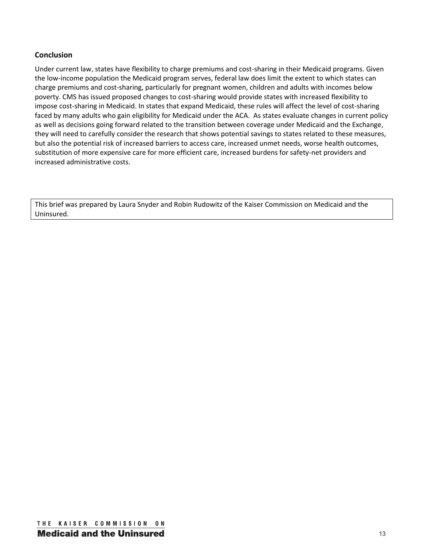## **Conclusion**

Under current law, states have flexibility to charge premiums and cost-sharing in their Medicaid programs. Given the low-income population the Medicaid program serves, federal law does limit the extent to which states can charge premiums and cost-sharing, particularly for pregnant women, children and adults with incomes below poverty. CMS has issued proposed changes to cost-sharing would provide states with increased flexibility to impose cost-sharing in Medicaid. In states that expand Medicaid, these rules will affect the level of cost-sharing faced by many adults who gain eligibility for Medicaid under the ACA. As states evaluate changes in current policy as well as decisions going forward related to the transition between coverage under Medicaid and the Exchange, they will need to carefully consider the research that shows potential savings to states related to these measures, but also the potential risk of increased barriers to access care, increased unmet needs, worse health outcomes, substitution of more expensive care for more efficient care, increased burdens for safety-net providers and increased administrative costs.

This brief was prepared by Laura Snyder and Robin Rudowitz of the Kaiser Commission on Medicaid and the Uninsured.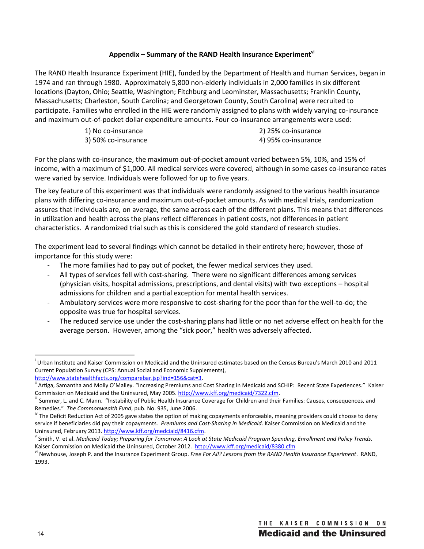## **Appendix – Summary of the RAND Health Insurance Experimentvi**

The RAND Health Insurance Experiment (HIE), funded by the Department of Health and Human Services, began in 1974 and ran through 1980. Approximately 5,800 non-elderly individuals in 2,000 families in six different locations (Dayton, Ohio; Seattle, Washington; Fitchburg and Leominster, Massachusetts; Franklin County, Massachusetts; Charleston, South Carolina; and Georgetown County, South Carolina) were recruited to participate. Families who enrolled in the HIE were randomly assigned to plans with widely varying co-insurance and maximum out-of-pocket dollar expenditure amounts. Four co-insurance arrangements were used:

| 1) No co-insurance  | 2) 25% co-insurance |
|---------------------|---------------------|
| 3) 50% co-insurance | 4) 95% co-insurance |

For the plans with co-insurance, the maximum out-of-pocket amount varied between 5%, 10%, and 15% of income, with a maximum of \$1,000. All medical services were covered, although in some cases co-insurance rates were varied by service. Individuals were followed for up to five years.

The key feature of this experiment was that individuals were randomly assigned to the various health insurance plans with differing co-insurance and maximum out-of-pocket amounts. As with medical trials, randomization assures that individuals are, on average, the same across each of the different plans. This means that differences in utilization and health across the plans reflect differences in patient costs, not differences in patient characteristics. A randomized trial such as this is considered the gold standard of research studies.

The experiment lead to several findings which cannot be detailed in their entirety here; however, those of importance for this study were:

- The more families had to pay out of pocket, the fewer medical services they used.
- All types of services fell with cost-sharing. There were no significant differences among services (physician visits, hospital admissions, prescriptions, and dental visits) with two exceptions – hospital admissions for children and a partial exception for mental health services.
- Ambulatory services were more responsive to cost-sharing for the poor than for the well-to-do; the opposite was true for hospital services.
- The reduced service use under the cost-sharing plans had little or no net adverse effect on health for the average person. However, among the "sick poor," health was adversely affected.

 $\overline{a}$ 

<sup>&</sup>lt;sup>i</sup> Urban Institute and Kaiser Commission on Medicaid and the Uninsured estimates based on the Census Bureau's March 2010 and 2011 Current Population Survey (CPS: Annual Social and Economic Supplements),

http://www.statehealthfacts.org/comparebar.jsp?ind=156&cat=3.<br><sup>ii</sup> Artiga, Samantha and Molly O'Malley. "Increasing Premiums and Cost Sharing in Medicaid and SCHIP: Recent State Experiences." Kaiser Commission on Medicaid and the Uninsured, May 2005. http://www.kff.org/medicaid/7322.cfm.<br>"" Summer, L. and C. Mann. "Instability of Public Health Insurance Coverage for Children and their Families: Causes, consequences, a

Remedies." *The Commonwealth Fund*, pub. No. 935, June 2006.<br><sup>Iv</sup> The Deficit Reduction Act of 2005 gave states the option of making copayments enforceable, meaning providers could choose to deny

service if beneficiaries did pay their copayments. *Premiums and Cost-Sharing in Medicaid*. Kaiser Commission on Medicaid and the Uninsured, February 2013. http://www.kff.org/medciaid/8416.cfm.

<sup>&</sup>lt;sup>v</sup> Smith, V. et al. *Medicaid Today; Preparing for Tomorrow: A Look at State Medicaid Program Spending, Enrollment and Policy Trends.* Kaiser Commission on Medicaid the Uninsured, October 2012. http://www.kff.org/medicaid/8380.cfm<br><sup>vi</sup> Newhouse, Joseph P. and the Insurance Experiment Group. Free For All? Lessons from the RAND Health Insurance Experiment.

<sup>1993.</sup>